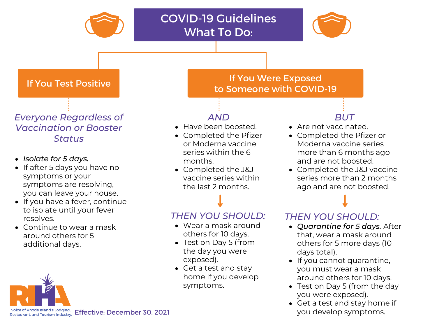

• Get a test and stay home if you develop

symptoms.

- If you cannot quarantine, you must wear a mask around others for 10 days.
- Test on Day 5 (from the day you were exposed).
- Get a test and stay home if you develop symptoms.

Voice of Rhode Island's Lodging, Effective: December 30, 2021